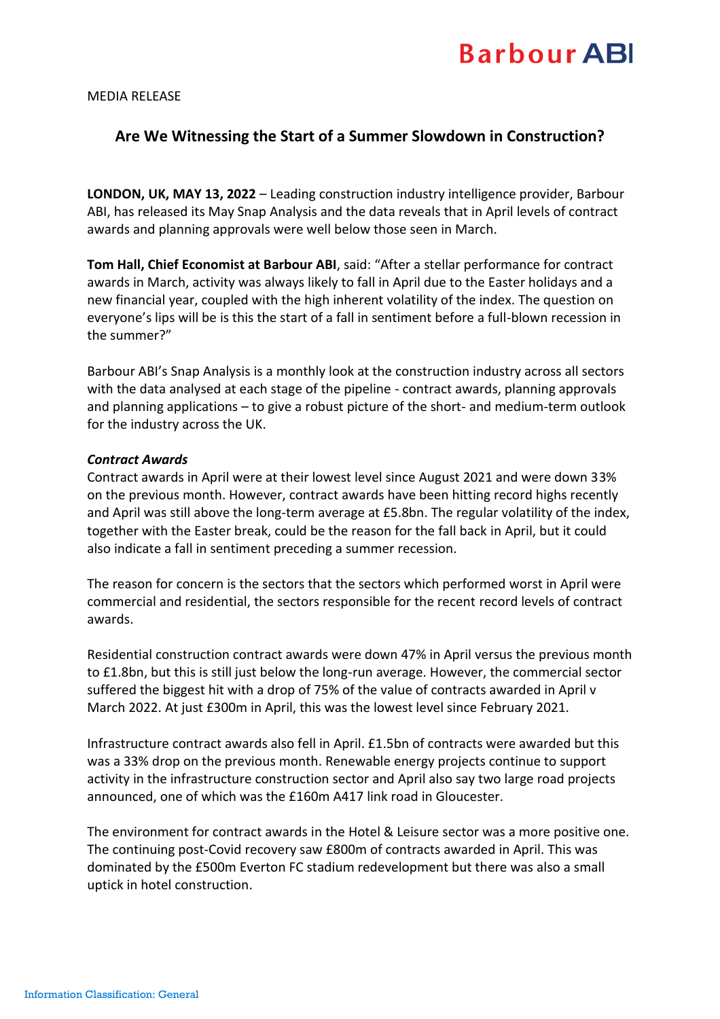# **Barbour ABI**

#### MEDIA RELEASE

## **Are We Witnessing the Start of a Summer Slowdown in Construction?**

**LONDON, UK, MAY 13, 2022** – Leading construction industry intelligence provider, Barbour ABI, has released its May Snap Analysis and the data reveals that in April levels of contract awards and planning approvals were well below those seen in March.

**Tom Hall, Chief Economist at Barbour ABI**, said: "After a stellar performance for contract awards in March, activity was always likely to fall in April due to the Easter holidays and a new financial year, coupled with the high inherent volatility of the index. The question on everyone's lips will be is this the start of a fall in sentiment before a full-blown recession in the summer?"

Barbour ABI's Snap Analysis is a monthly look at the construction industry across all sectors with the data analysed at each stage of the pipeline - contract awards, planning approvals and planning applications – to give a robust picture of the short- and medium-term outlook for the industry across the UK.

#### *Contract Awards*

Contract awards in April were at their lowest level since August 2021 and were down 33% on the previous month. However, contract awards have been hitting record highs recently and April was still above the long-term average at £5.8bn. The regular volatility of the index, together with the Easter break, could be the reason for the fall back in April, but it could also indicate a fall in sentiment preceding a summer recession.

The reason for concern is the sectors that the sectors which performed worst in April were commercial and residential, the sectors responsible for the recent record levels of contract awards.

Residential construction contract awards were down 47% in April versus the previous month to £1.8bn, but this is still just below the long-run average. However, the commercial sector suffered the biggest hit with a drop of 75% of the value of contracts awarded in April v March 2022. At just £300m in April, this was the lowest level since February 2021.

Infrastructure contract awards also fell in April. £1.5bn of contracts were awarded but this was a 33% drop on the previous month. Renewable energy projects continue to support activity in the infrastructure construction sector and April also say two large road projects announced, one of which was the £160m A417 link road in Gloucester.

The environment for contract awards in the Hotel & Leisure sector was a more positive one. The continuing post-Covid recovery saw £800m of contracts awarded in April. This was dominated by the £500m Everton FC stadium redevelopment but there was also a small uptick in hotel construction.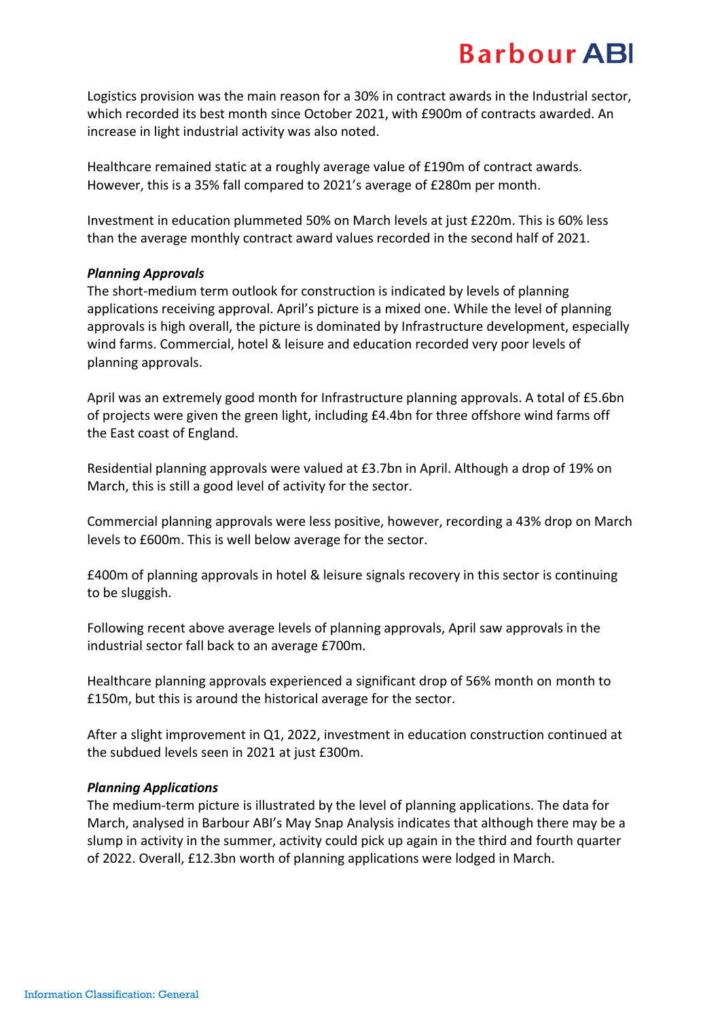# **Barbour ABI**

Logistics provision was the main reason for a 30% in contract awards in the Industrial sector, which recorded its best month since October 2021, with £900m of contracts awarded. An increase in light industrial activity was also noted.

Healthcare remained static at a roughly average value of £190m of contract awards. However, this is a 35% fall compared to 2021's average of £280m per month.

Investment in education plummeted 50% on March levels at just £220m. This is 60% less than the average monthly contract award values recorded in the second half of 2021.

### *Planning Approvals*

The short-medium term outlook for construction is indicated by levels of planning applications receiving approval. April's picture is a mixed one. While the level of planning approvals is high overall, the picture is dominated by Infrastructure development, especially wind farms. Commercial, hotel & leisure and education recorded very poor levels of planning approvals.

April was an extremely good month for Infrastructure planning approvals. A total of £5.6bn of projects were given the green light, including £4.4bn for three offshore wind farms off the East coast of England.

Residential planning approvals were valued at £3.7bn in April. Although a drop of 19% on March, this is still a good level of activity for the sector.

Commercial planning approvals were less positive, however, recording a 43% drop on March levels to £600m. This is well below average for the sector.

£400m of planning approvals in hotel & leisure signals recovery in this sector is continuing to be sluggish.

Following recent above average levels of planning approvals, April saw approvals in the industrial sector fall back to an average £700m.

Healthcare planning approvals experienced a significant drop of 56% month on month to £150m, but this is around the historical average for the sector.

After a slight improvement in Q1, 2022, investment in education construction continued at the subdued levels seen in 2021 at just £300m.

#### *Planning Applications*

The medium-term picture is illustrated by the level of planning applications. The data for March, analysed in Barbour ABI's May Snap Analysis indicates that although there may be a slump in activity in the summer, activity could pick up again in the third and fourth quarter of 2022. Overall, £12.3bn worth of planning applications were lodged in March.